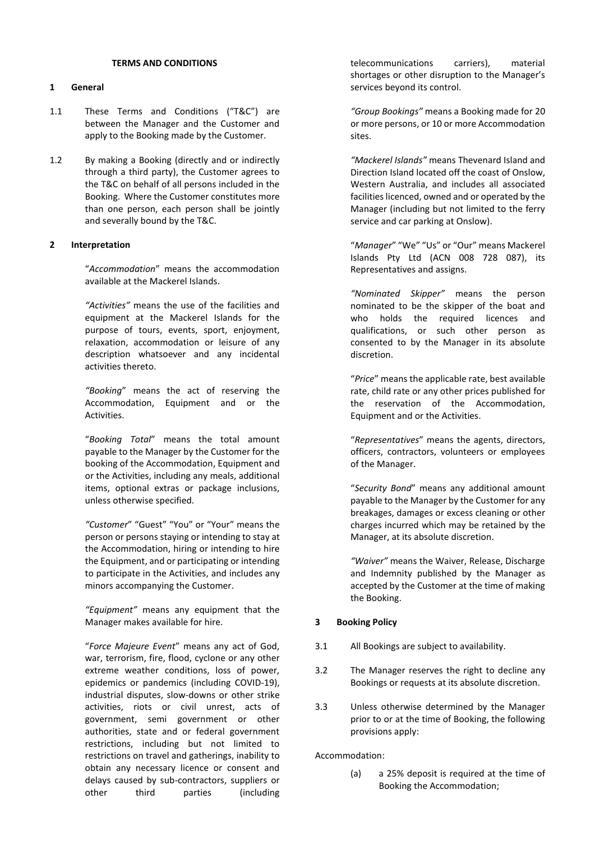#### **TERMS AND CONDITIONS**

#### **1 General**

- 1.1 These Terms and Conditions ("T&C") are between the Manager and the Customer and apply to the Booking made by the Customer.
- 1.2 By making a Booking (directly and or indirectly through a third party), the Customer agrees to the T&C on behalf of all persons included in the Booking. Where the Customer constitutes more than one person, each person shall be jointly and severally bound by the T&C.

#### **2 Interpretation**

"*Accommodation*" means the accommodation available at the Mackerel Islands.

*"Activities"* means the use of the facilities and equipment at the Mackerel Islands for the purpose of tours, events, sport, enjoyment, relaxation, accommodation or leisure of any description whatsoever and any incidental activities thereto.

*"Booking*" means the act of reserving the Accommodation, Equipment and or the Activities.

"*Booking Total*" means the total amount payable to the Manager by the Customer for the booking of the Accommodation, Equipment and or the Activities, including any meals, additional items, optional extras or package inclusions, unless otherwise specified.

*"Customer*" "Guest" "You" or "Your" means the person or persons staying or intending to stay at the Accommodation, hiring or intending to hire the Equipment, and or participating or intending to participate in the Activities, and includes any minors accompanying the Customer.

*"Equipment"* means any equipment that the Manager makes available for hire.

"*Force Majeure Event*" means any act of God, war, terrorism, fire, flood, cyclone or any other extreme weather conditions, loss of power, epidemics or pandemics (including COVID-19), industrial disputes, slow-downs or other strike activities, riots or civil unrest, acts of government, semi government or other authorities, state and or federal government restrictions, including but not limited to restrictions on travel and gatherings, inability to obtain any necessary licence or consent and delays caused by sub-contractors, suppliers or other third parties (including

telecommunications carriers), material shortages or other disruption to the Manager's services beyond its control.

*"Group Bookings"* means a Booking made for 20 or more persons, or 10 or more Accommodation sites.

*"Mackerel Islands"* means Thevenard Island and Direction Island located off the coast of Onslow, Western Australia, and includes all associated facilities licenced, owned and or operated by the Manager (including but not limited to the ferry service and car parking at Onslow).

"*Manager*" "We" "Us" or "Our" means Mackerel Islands Pty Ltd (ACN 008 728 087), its Representatives and assigns.

*"Nominated Skipper"* means the person nominated to be the skipper of the boat and who holds the required licences and qualifications, or such other person as consented to by the Manager in its absolute discretion.

"*Price*" means the applicable rate, best available rate, child rate or any other prices published for the reservation of the Accommodation, Equipment and or the Activities.

"*Representatives*" means the agents, directors, officers, contractors, volunteers or employees of the Manager.

"*Security Bond*" means any additional amount payable to the Manager by the Customer for any breakages, damages or excess cleaning or other charges incurred which may be retained by the Manager, at its absolute discretion.

*"Waiver"* means the Waiver, Release, Discharge and Indemnity published by the Manager as accepted by the Customer at the time of making the Booking.

#### **3 Booking Policy**

- 3.1 All Bookings are subject to availability.
- 3.2 The Manager reserves the right to decline any Bookings or requests at its absolute discretion.
- 3.3 Unless otherwise determined by the Manager prior to or at the time of Booking, the following provisions apply:

#### Accommodation:

(a) a 25% deposit is required at the time of Booking the Accommodation;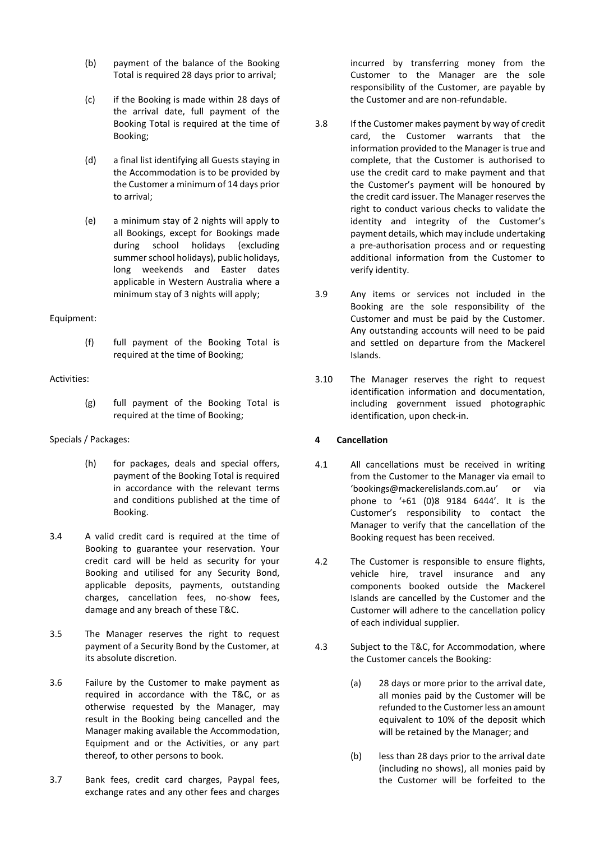- (b) payment of the balance of the Booking Total is required 28 days prior to arrival;
- (c) if the Booking is made within 28 days of the arrival date, full payment of the Booking Total is required at the time of Booking;
- (d) a final list identifying all Guests staying in the Accommodation is to be provided by the Customer a minimum of 14 days prior to arrival;
- (e) a minimum stay of 2 nights will apply to all Bookings, except for Bookings made during school holidays (excluding summer school holidays), public holidays, long weekends and Easter dates applicable in Western Australia where a minimum stay of 3 nights will apply;

# Equipment:

(f) full payment of the Booking Total is required at the time of Booking;

# Activities:

(g) full payment of the Booking Total is required at the time of Booking;

# Specials / Packages:

- (h) for packages, deals and special offers, payment of the Booking Total is required in accordance with the relevant terms and conditions published at the time of Booking.
- 3.4 A valid credit card is required at the time of Booking to guarantee your reservation. Your credit card will be held as security for your Booking and utilised for any Security Bond, applicable deposits, payments, outstanding charges, cancellation fees, no-show fees, damage and any breach of these T&C.
- 3.5 The Manager reserves the right to request payment of a Security Bond by the Customer, at its absolute discretion.
- 3.6 Failure by the Customer to make payment as required in accordance with the T&C, or as otherwise requested by the Manager, may result in the Booking being cancelled and the Manager making available the Accommodation, Equipment and or the Activities, or any part thereof, to other persons to book.
- 3.7 Bank fees, credit card charges, Paypal fees, exchange rates and any other fees and charges

incurred by transferring money from the Customer to the Manager are the sole responsibility of the Customer, are payable by the Customer and are non-refundable.

- 3.8 If the Customer makes payment by way of credit card, the Customer warrants that the information provided to the Manager is true and complete, that the Customer is authorised to use the credit card to make payment and that the Customer's payment will be honoured by the credit card issuer. The Manager reserves the right to conduct various checks to validate the identity and integrity of the Customer's payment details, which may include undertaking a pre-authorisation process and or requesting additional information from the Customer to verify identity.
- 3.9 Any items or services not included in the Booking are the sole responsibility of the Customer and must be paid by the Customer. Any outstanding accounts will need to be paid and settled on departure from the Mackerel Islands.
- 3.10 The Manager reserves the right to request identification information and documentation, including government issued photographic identification, upon check-in.

# **4 Cancellation**

- 4.1 All cancellations must be received in writing from the Customer to the Manager via email to 'bookings@mackerelislands.com.au' or via phone to '+61 (0)8 9184 6444'. It is the Customer's responsibility to contact the Manager to verify that the cancellation of the Booking request has been received.
- 4.2 The Customer is responsible to ensure flights, vehicle hire, travel insurance and any components booked outside the Mackerel Islands are cancelled by the Customer and the Customer will adhere to the cancellation policy of each individual supplier.
- 4.3 Subject to the T&C, for Accommodation, where the Customer cancels the Booking:
	- (a) 28 days or more prior to the arrival date, all monies paid by the Customer will be refunded to the Customer less an amount equivalent to 10% of the deposit which will be retained by the Manager; and
	- (b) less than 28 days prior to the arrival date (including no shows), all monies paid by the Customer will be forfeited to the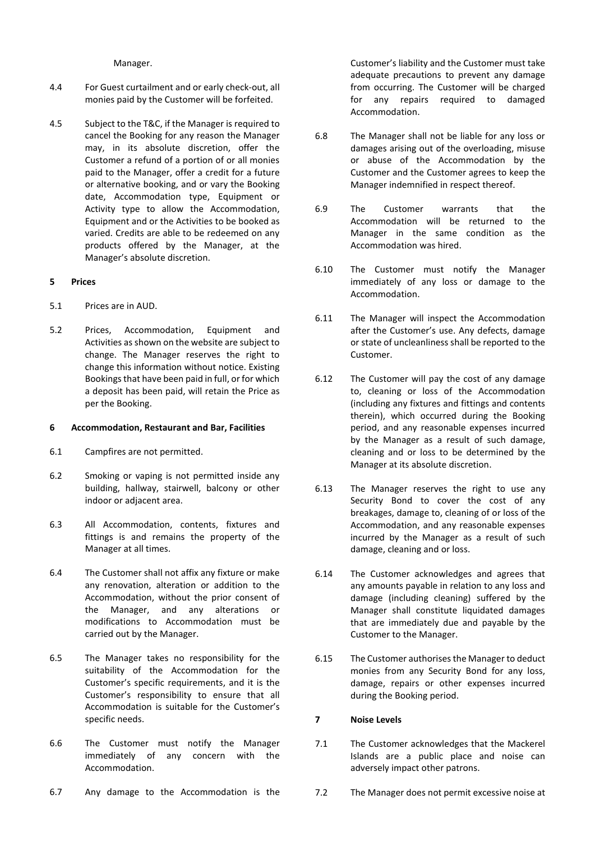Manager.

- 4.4 For Guest curtailment and or early check-out, all monies paid by the Customer will be forfeited.
- 4.5 Subject to the T&C, if the Manager is required to cancel the Booking for any reason the Manager may, in its absolute discretion, offer the Customer a refund of a portion of or all monies paid to the Manager, offer a credit for a future or alternative booking, and or vary the Booking date, Accommodation type, Equipment or Activity type to allow the Accommodation, Equipment and or the Activities to be booked as varied. Credits are able to be redeemed on any products offered by the Manager, at the Manager's absolute discretion.

#### **5 Prices**

- 5.1 Prices are in AUD.
- 5.2 Prices, Accommodation, Equipment and Activities as shown on the website are subject to change. The Manager reserves the right to change this information without notice. Existing Bookings that have been paid in full, or for which a deposit has been paid, will retain the Price as per the Booking.

#### **6 Accommodation, Restaurant and Bar, Facilities**

- 6.1 Campfires are not permitted.
- 6.2 Smoking or vaping is not permitted inside any building, hallway, stairwell, balcony or other indoor or adjacent area.
- 6.3 All Accommodation, contents, fixtures and fittings is and remains the property of the Manager at all times.
- 6.4 The Customer shall not affix any fixture or make any renovation, alteration or addition to the Accommodation, without the prior consent of the Manager, and any alterations or modifications to Accommodation must be carried out by the Manager.
- 6.5 The Manager takes no responsibility for the suitability of the Accommodation for the Customer's specific requirements, and it is the Customer's responsibility to ensure that all Accommodation is suitable for the Customer's specific needs.
- 6.6 The Customer must notify the Manager immediately of any concern with the Accommodation.

Customer's liability and the Customer must take adequate precautions to prevent any damage from occurring. The Customer will be charged for any repairs required to damaged Accommodation.

- 6.8 The Manager shall not be liable for any loss or damages arising out of the overloading, misuse or abuse of the Accommodation by the Customer and the Customer agrees to keep the Manager indemnified in respect thereof.
- 6.9 The Customer warrants that the Accommodation will be returned to the Manager in the same condition as the Accommodation was hired.
- 6.10 The Customer must notify the Manager immediately of any loss or damage to the Accommodation.
- 6.11 The Manager will inspect the Accommodation after the Customer's use. Any defects, damage or state of uncleanliness shall be reported to the Customer.
- 6.12 The Customer will pay the cost of any damage to, cleaning or loss of the Accommodation (including any fixtures and fittings and contents therein), which occurred during the Booking period, and any reasonable expenses incurred by the Manager as a result of such damage, cleaning and or loss to be determined by the Manager at its absolute discretion.
- 6.13 The Manager reserves the right to use any Security Bond to cover the cost of any breakages, damage to, cleaning of or loss of the Accommodation, and any reasonable expenses incurred by the Manager as a result of such damage, cleaning and or loss.
- 6.14 The Customer acknowledges and agrees that any amounts payable in relation to any loss and damage (including cleaning) suffered by the Manager shall constitute liquidated damages that are immediately due and payable by the Customer to the Manager.
- 6.15 The Customer authorises the Manager to deduct monies from any Security Bond for any loss, damage, repairs or other expenses incurred during the Booking period.

#### <span id="page-2-0"></span>**7 Noise Levels**

- 7.1 The Customer acknowledges that the Mackerel Islands are a public place and noise can adversely impact other patrons.
- 7.2 The Manager does not permit excessive noise at

6.7 Any damage to the Accommodation is the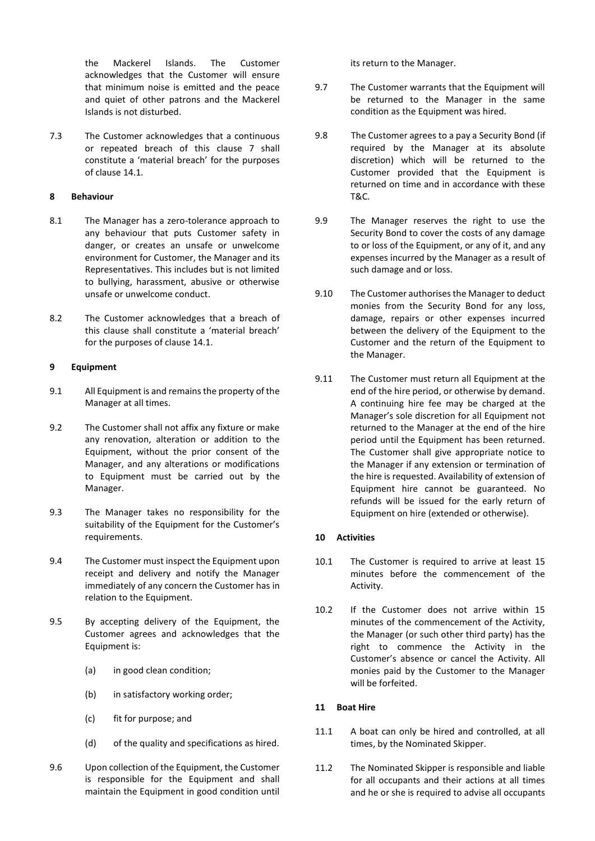the Mackerel Islands. The Customer acknowledges that the Customer will ensure that minimum noise is emitted and the peace and quiet of other patrons and the Mackerel Islands is not disturbed.

7.3 The Customer acknowledges that a continuous or repeated breach of this clause [7](#page-2-0) shall constitute a 'material breach' for the purposes of claus[e 14.1.](#page-5-0)

# **8 Behaviour**

- 8.1 The Manager has a zero-tolerance approach to any behaviour that puts Customer safety in danger, or creates an unsafe or unwelcome environment for Customer, the Manager and its Representatives. This includes but is not limited to bullying, harassment, abusive or otherwise unsafe or unwelcome conduct.
- 8.2 The Customer acknowledges that a breach of this clause shall constitute a 'material breach' for the purposes of clause [14.1.](#page-5-0)

#### **9 Equipment**

- 9.1 All Equipment is and remains the property of the Manager at all times.
- 9.2 The Customer shall not affix any fixture or make any renovation, alteration or addition to the Equipment, without the prior consent of the Manager, and any alterations or modifications to Equipment must be carried out by the Manager.
- 9.3 The Manager takes no responsibility for the suitability of the Equipment for the Customer's requirements.
- 9.4 The Customer must inspect the Equipment upon receipt and delivery and notify the Manager immediately of any concern the Customer has in relation to the Equipment.
- 9.5 By accepting delivery of the Equipment, the Customer agrees and acknowledges that the Equipment is:
	- (a) in good clean condition;
	- (b) in satisfactory working order;
	- (c) fit for purpose; and
	- (d) of the quality and specifications as hired.
- 9.6 Upon collection of the Equipment, the Customer is responsible for the Equipment and shall maintain the Equipment in good condition until

its return to the Manager.

- 9.7 The Customer warrants that the Equipment will be returned to the Manager in the same condition as the Equipment was hired.
- 9.8 The Customer agrees to a pay a Security Bond (if required by the Manager at its absolute discretion) which will be returned to the Customer provided that the Equipment is returned on time and in accordance with these T&C.
- 9.9 The Manager reserves the right to use the Security Bond to cover the costs of any damage to or loss of the Equipment, or any of it, and any expenses incurred by the Manager as a result of such damage and or loss.
- 9.10 The Customer authorises the Manager to deduct monies from the Security Bond for any loss, damage, repairs or other expenses incurred between the delivery of the Equipment to the Customer and the return of the Equipment to the Manager.
- 9.11 The Customer must return all Equipment at the end of the hire period, or otherwise by demand. A continuing hire fee may be charged at the Manager's sole discretion for all Equipment not returned to the Manager at the end of the hire period until the Equipment has been returned. The Customer shall give appropriate notice to the Manager if any extension or termination of the hire is requested. Availability of extension of Equipment hire cannot be guaranteed. No refunds will be issued for the early return of Equipment on hire (extended or otherwise).

#### **10 Activities**

- 10.1 The Customer is required to arrive at least 15 minutes before the commencement of the Activity.
- 10.2 If the Customer does not arrive within 15 minutes of the commencement of the Activity, the Manager (or such other third party) has the right to commence the Activity in the Customer's absence or cancel the Activity. All monies paid by the Customer to the Manager will be forfeited.

# **11 Boat Hire**

- 11.1 A boat can only be hired and controlled, at all times, by the Nominated Skipper.
- 11.2 The Nominated Skipper is responsible and liable for all occupants and their actions at all times and he or she is required to advise all occupants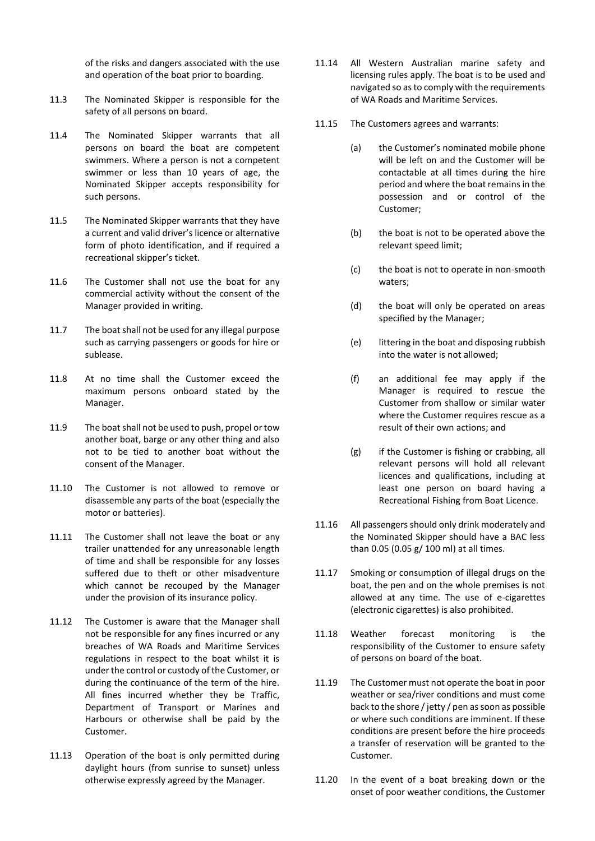of the risks and dangers associated with the use and operation of the boat prior to boarding.

- 11.3 The Nominated Skipper is responsible for the safety of all persons on board.
- 11.4 The Nominated Skipper warrants that all persons on board the boat are competent swimmers. Where a person is not a competent swimmer or less than 10 years of age, the Nominated Skipper accepts responsibility for such persons.
- 11.5 The Nominated Skipper warrants that they have a current and valid driver's licence or alternative form of photo identification, and if required a recreational skipper's ticket.
- 11.6 The Customer shall not use the boat for any commercial activity without the consent of the Manager provided in writing.
- 11.7 The boat shall not be used for any illegal purpose such as carrying passengers or goods for hire or sublease.
- 11.8 At no time shall the Customer exceed the maximum persons onboard stated by the Manager.
- 11.9 The boat shall not be used to push, propel or tow another boat, barge or any other thing and also not to be tied to another boat without the consent of the Manager.
- 11.10 The Customer is not allowed to remove or disassemble any parts of the boat (especially the motor or batteries).
- 11.11 The Customer shall not leave the boat or any trailer unattended for any unreasonable length of time and shall be responsible for any losses suffered due to theft or other misadventure which cannot be recouped by the Manager under the provision of its insurance policy.
- 11.12 The Customer is aware that the Manager shall not be responsible for any fines incurred or any breaches of WA Roads and Maritime Services regulations in respect to the boat whilst it is under the control or custody of the Customer, or during the continuance of the term of the hire. All fines incurred whether they be Traffic, Department of Transport or Marines and Harbours or otherwise shall be paid by the Customer.
- 11.13 Operation of the boat is only permitted during daylight hours (from sunrise to sunset) unless otherwise expressly agreed by the Manager.
- 11.14 All Western Australian marine safety and licensing rules apply. The boat is to be used and navigated so as to comply with the requirements of WA Roads and Maritime Services.
- 11.15 The Customers agrees and warrants:
	- (a) the Customer's nominated mobile phone will be left on and the Customer will be contactable at all times during the hire period and where the boat remains in the possession and or control of the Customer;
	- (b) the boat is not to be operated above the relevant speed limit;
	- (c) the boat is not to operate in non-smooth waters;
	- (d) the boat will only be operated on areas specified by the Manager;
	- (e) littering in the boat and disposing rubbish into the water is not allowed;
	- (f) an additional fee may apply if the Manager is required to rescue the Customer from shallow or similar water where the Customer requires rescue as a result of their own actions; and
	- (g) if the Customer is fishing or crabbing, all relevant persons will hold all relevant licences and qualifications, including at least one person on board having a Recreational Fishing from Boat Licence.
- 11.16 All passengers should only drink moderately and the Nominated Skipper should have a BAC less than 0.05 (0.05 g/ 100 ml) at all times.
- 11.17 Smoking or consumption of illegal drugs on the boat, the pen and on the whole premises is not allowed at any time. The use of e-cigarettes (electronic cigarettes) is also prohibited.
- 11.18 Weather forecast monitoring is the responsibility of the Customer to ensure safety of persons on board of the boat.
- 11.19 The Customer must not operate the boat in poor weather or sea/river conditions and must come back to the shore / jetty / pen as soon as possible or where such conditions are imminent. If these conditions are present before the hire proceeds a transfer of reservation will be granted to the Customer.
- 11.20 In the event of a boat breaking down or the onset of poor weather conditions, the Customer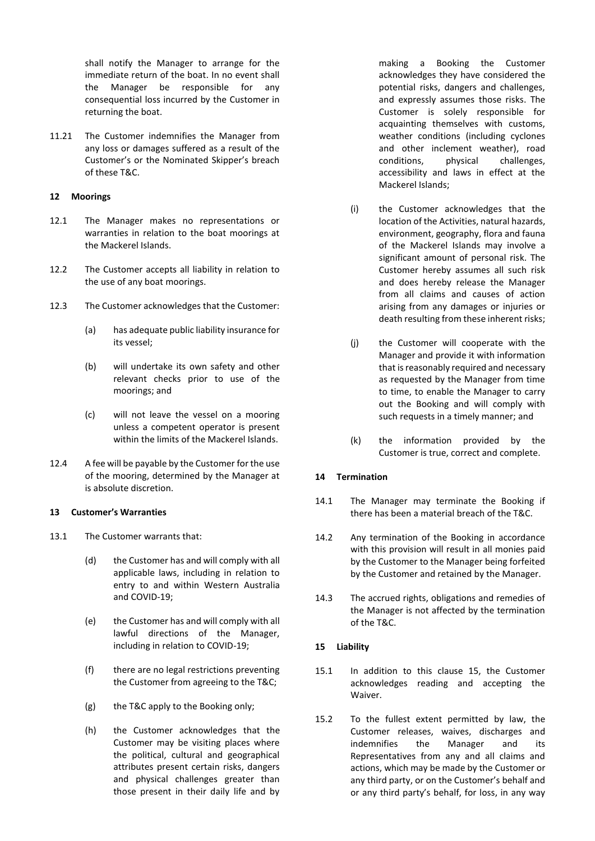shall notify the Manager to arrange for the immediate return of the boat. In no event shall the Manager be responsible for any consequential loss incurred by the Customer in returning the boat.

11.21 The Customer indemnifies the Manager from any loss or damages suffered as a result of the Customer's or the Nominated Skipper's breach of these T&C.

# **12 Moorings**

- 12.1 The Manager makes no representations or warranties in relation to the boat moorings at the Mackerel Islands.
- 12.2 The Customer accepts all liability in relation to the use of any boat moorings.
- 12.3 The Customer acknowledges that the Customer:
	- (a) has adequate public liability insurance for its vessel;
	- (b) will undertake its own safety and other relevant checks prior to use of the moorings; and
	- (c) will not leave the vessel on a mooring unless a competent operator is present within the limits of the Mackerel Islands.
- 12.4 A fee will be payable by the Customer for the use of the mooring, determined by the Manager at is absolute discretion.

# **13 Customer's Warranties**

- 13.1 The Customer warrants that:
	- (d) the Customer has and will comply with all applicable laws, including in relation to entry to and within Western Australia and COVID-19;
	- (e) the Customer has and will comply with all lawful directions of the Manager, including in relation to COVID-19;
	- (f) there are no legal restrictions preventing the Customer from agreeing to the T&C;
	- (g) the T&C apply to the Booking only;
	- (h) the Customer acknowledges that the Customer may be visiting places where the political, cultural and geographical attributes present certain risks, dangers and physical challenges greater than those present in their daily life and by

making a Booking the Customer acknowledges they have considered the potential risks, dangers and challenges, and expressly assumes those risks. The Customer is solely responsible for acquainting themselves with customs, weather conditions (including cyclones and other inclement weather), road conditions, physical challenges, accessibility and laws in effect at the Mackerel Islands;

- (i) the Customer acknowledges that the location of the Activities, natural hazards, environment, geography, flora and fauna of the Mackerel Islands may involve a significant amount of personal risk. The Customer hereby assumes all such risk and does hereby release the Manager from all claims and causes of action arising from any damages or injuries or death resulting from these inherent risks;
- (j) the Customer will cooperate with the Manager and provide it with information that is reasonably required and necessary as requested by the Manager from time to time, to enable the Manager to carry out the Booking and will comply with such requests in a timely manner; and
- (k) the information provided by the Customer is true, correct and complete.

# **14 Termination**

- <span id="page-5-0"></span>14.1 The Manager may terminate the Booking if there has been a material breach of the T&C.
- 14.2 Any termination of the Booking in accordance with this provision will result in all monies paid by the Customer to the Manager being forfeited by the Customer and retained by the Manager.
- 14.3 The accrued rights, obligations and remedies of the Manager is not affected by the termination of the T&C.

# <span id="page-5-1"></span>**15 Liability**

- 15.1 In addition to this clause [15,](#page-5-1) the Customer acknowledges reading and accepting the Waiver.
- 15.2 To the fullest extent permitted by law, the Customer releases, waives, discharges and indemnifies the Manager and its Representatives from any and all claims and actions, which may be made by the Customer or any third party, or on the Customer's behalf and or any third party's behalf, for loss, in any way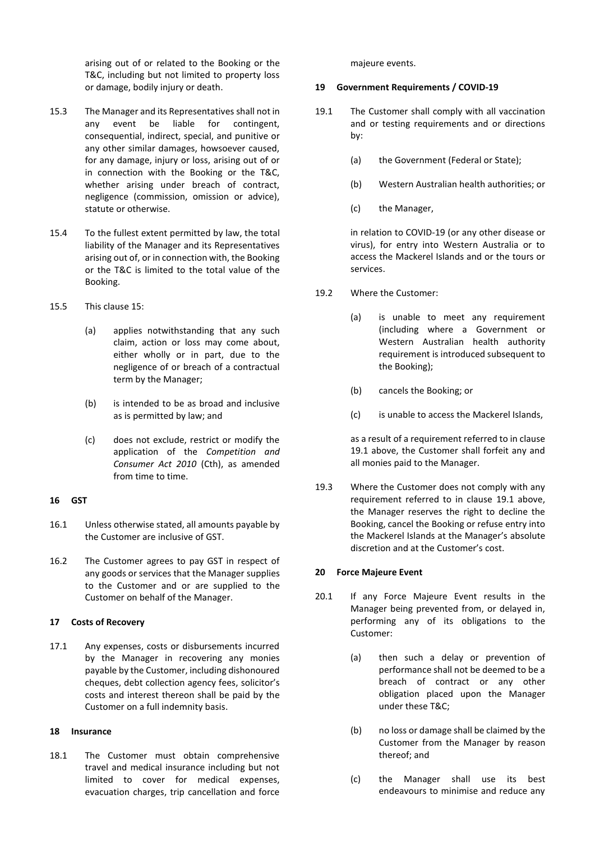arising out of or related to the Booking or the T&C, including but not limited to property loss or damage, bodily injury or death.

- 15.3 The Manager and its Representatives shall not in any event be liable for contingent, consequential, indirect, special, and punitive or any other similar damages, howsoever caused, for any damage, injury or loss, arising out of or in connection with the Booking or the T&C, whether arising under breach of contract, negligence (commission, omission or advice), statute or otherwise.
- 15.4 To the fullest extent permitted by law, the total liability of the Manager and its Representatives arising out of, or in connection with, the Booking or the T&C is limited to the total value of the Booking.
- 15.5 This claus[e 15:](#page-5-1)
	- (a) applies notwithstanding that any such claim, action or loss may come about, either wholly or in part, due to the negligence of or breach of a contractual term by the Manager;
	- (b) is intended to be as broad and inclusive as is permitted by law; and
	- (c) does not exclude, restrict or modify the application of the *Competition and Consumer Act 2010* (Cth), as amended from time to time.

# **16 GST**

- 16.1 Unless otherwise stated, all amounts payable by the Customer are inclusive of GST.
- 16.2 The Customer agrees to pay GST in respect of any goods or services that the Manager supplies to the Customer and or are supplied to the Customer on behalf of the Manager.

# **17 Costs of Recovery**

17.1 Any expenses, costs or disbursements incurred by the Manager in recovering any monies payable by the Customer, including dishonoured cheques, debt collection agency fees, solicitor's costs and interest thereon shall be paid by the Customer on a full indemnity basis.

# **18 Insurance**

18.1 The Customer must obtain comprehensive travel and medical insurance including but not limited to cover for medical expenses, evacuation charges, trip cancellation and force

majeure events.

# **19 Government Requirements / COVID-19**

- <span id="page-6-0"></span>19.1 The Customer shall comply with all vaccination and or testing requirements and or directions by:
	- (a) the Government (Federal or State);
	- (b) Western Australian health authorities; or
	- (c) the Manager,

in relation to COVID-19 (or any other disease or virus), for entry into Western Australia or to access the Mackerel Islands and or the tours or services.

- 19.2 Where the Customer:
	- (a) is unable to meet any requirement (including where a Government or Western Australian health authority requirement is introduced subsequent to the Booking);
	- (b) cancels the Booking; or
	- (c) is unable to access the Mackerel Islands,

as a result of a requirement referred to in clause [19.1](#page-6-0) above, the Customer shall forfeit any and all monies paid to the Manager.

19.3 Where the Customer does not comply with any requirement referred to in clause [19.1](#page-6-0) above, the Manager reserves the right to decline the Booking, cancel the Booking or refuse entry into the Mackerel Islands at the Manager's absolute discretion and at the Customer's cost.

# **20 Force Majeure Event**

- 20.1 If any Force Majeure Event results in the Manager being prevented from, or delayed in, performing any of its obligations to the Customer:
	- (a) then such a delay or prevention of performance shall not be deemed to be a breach of contract or any other obligation placed upon the Manager under these T&C;
	- (b) no loss or damage shall be claimed by the Customer from the Manager by reason thereof; and
	- (c) the Manager shall use its best endeavours to minimise and reduce any